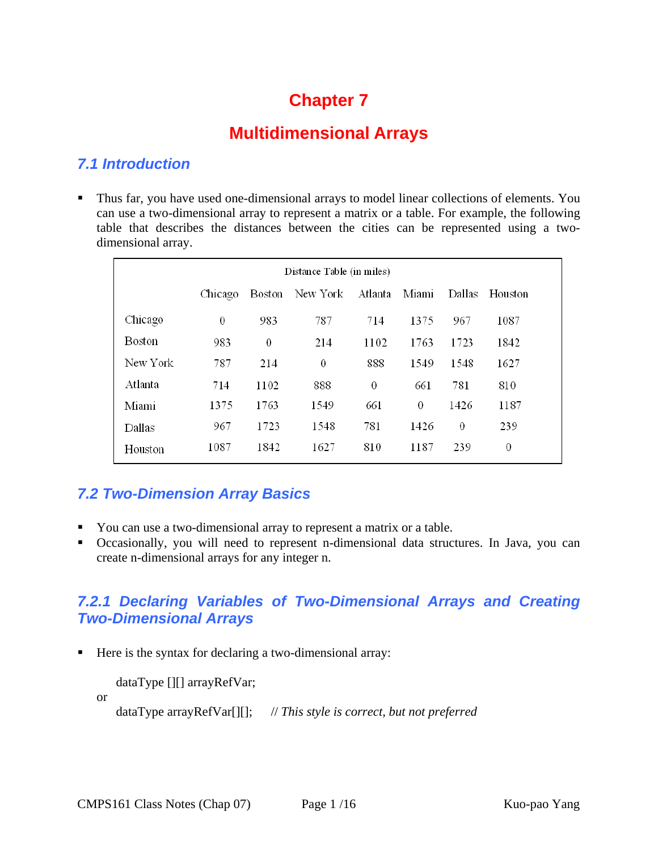# **Chapter 7**

# **Multidimensional Arrays**

#### *7.1 Introduction*

 Thus far, you have used one-dimensional arrays to model linear collections of elements. You can use a two-dimensional array to represent a matrix or a table. For example, the following table that describes the distances between the cities can be represented using a twodimensional array.

| Distance Table (in miles) |         |        |          |          |          |        |         |  |
|---------------------------|---------|--------|----------|----------|----------|--------|---------|--|
|                           | Chicago | Boston | New York | Atlanta  | Miami    | Dallas | Houston |  |
| Chicago                   | 0       | 983    | 787      | 714      | 1375     | 967    | 1087    |  |
| Boston                    | 983     | 0      | 214      | 1102     | 1763     | 1723   | 1842    |  |
| New York                  | 787     | 214    | $\theta$ | 888      | 1549     | 1548   | 1627    |  |
| Atlanta                   | 714     | 1102   | 888      | $\theta$ | 661      | 781    | 810     |  |
| Miami                     | 1375    | 1763   | 1549     | 661      | $\theta$ | 1426   | 1187    |  |
| Dallas                    | 967     | 1723   | 1548     | 781      | 1426     | 0      | 239     |  |
| Houston                   | 1087    | 1842   | 1627     | 810      | 1187     | 239    | 0       |  |

## *7.2 Two-Dimension Array Basics*

- You can use a two-dimensional array to represent a matrix or a table.
- Occasionally, you will need to represent n-dimensional data structures. In Java, you can create n-dimensional arrays for any integer n.

## *7.2.1 Declaring Variables of Two-Dimensional Arrays and Creating Two-Dimensional Arrays*

Here is the syntax for declaring a two-dimensional array:

dataType [][] arrayRefVar;

or

dataType arrayRefVar[][]; // *This style is correct, but not preferred*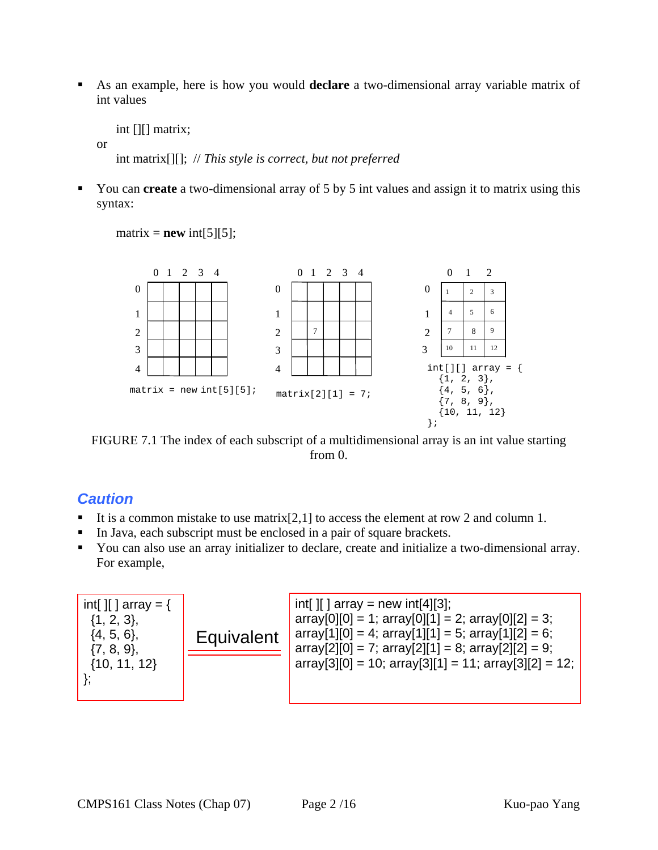As an example, here is how you would **declare** a two-dimensional array variable matrix of int values

int [][] matrix;

or

int matrix[][]; // *This style is correct, but not preferred*

■ You can **create** a two-dimensional array of 5 by 5 int values and assign it to matrix using this syntax:

 $matrix = new int[5][5];$ 



FIGURE 7.1 The index of each subscript of a multidimensional array is an int value starting from 0.

#### *Caution*

- It is a common mistake to use matrix [2,1] to access the element at row 2 and column 1.
- In Java, each subscript must be enclosed in a pair of square brackets.
- You can also use an array initializer to declare, create and initialize a two-dimensional array. For example,

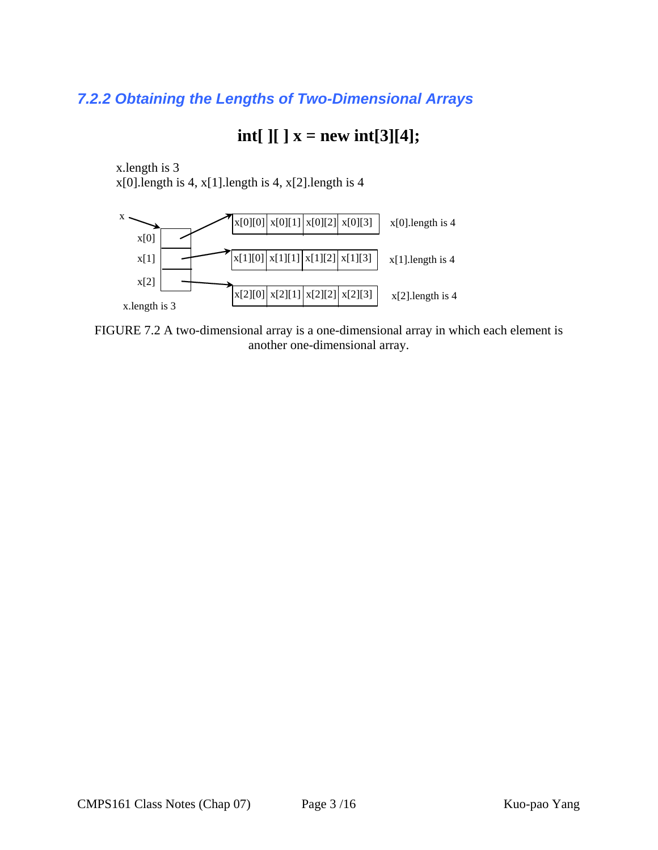## *7.2.2 Obtaining the Lengths of Two-Dimensional Arrays*

# **int[ ][ ] x = new int[3][4];**

x.length is 3  $x[0]$ .length is 4,  $x[1]$ .length is 4,  $x[2]$ .length is 4



FIGURE 7.2 A two-dimensional array is a one-dimensional array in which each element is another one-dimensional array.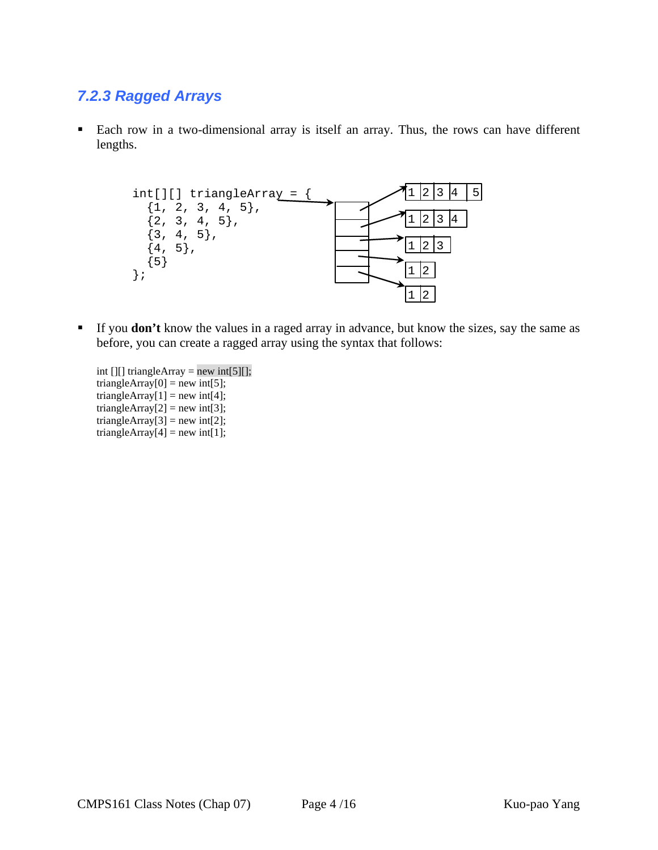## *7.2.3 Ragged Arrays*

 Each row in a two-dimensional array is itself an array. Thus, the rows can have different lengths.



- If you **don't** know the values in a raged array in advance, but know the sizes, say the same as before, you can create a ragged array using the syntax that follows:
	- int  $[$ [ $]$ ] triangleArray = new int $[5]$ [ $]$ ; triangleArray $[0]$  = new int $[5]$ ; triangleArray $[1]$  = new int $[4]$ ; triangleArray $[2]$  = new int $[3]$ ; triangleArray $[3]$  = new int $[2]$ ; triangleArray $[4]$  = new int[1];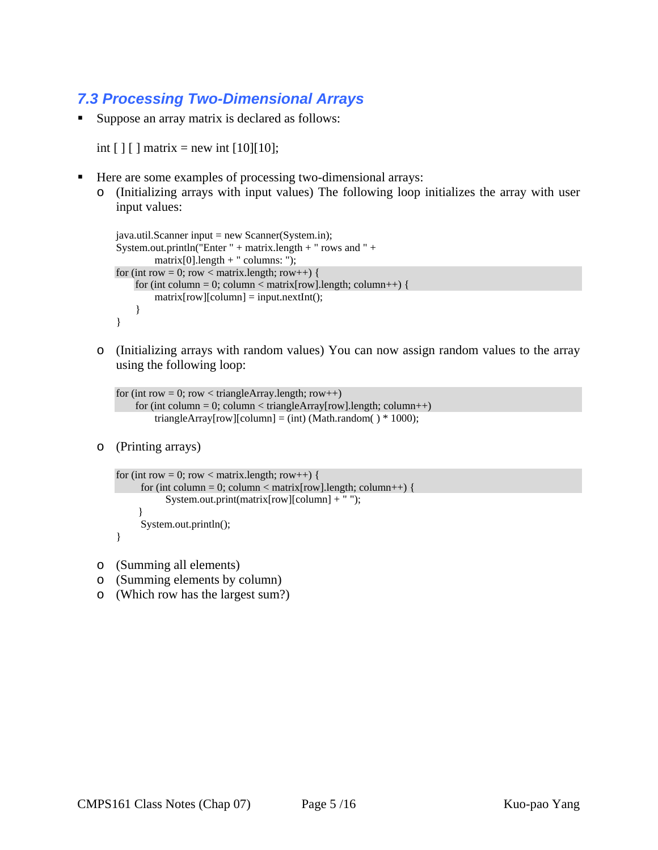## *7.3 Processing Two-Dimensional Arrays*

Suppose an array matrix is declared as follows:

int  $[ ] [ ]$  matrix = new int  $[10][10]$ ;

- Here are some examples of processing two-dimensional arrays:
	- o (Initializing arrays with input values) The following loop initializes the array with user input values:

```
java.util.Scanner input = new Scanner(System.in); 
System.out.println("Enter " + matrix.length + " rows and " +
          matrix[0].length + " columns: "); 
for (int row = 0; row < matrix.length; row++) {
    for (int column = 0; column < matrix [row].length; column++) {
         matrix[row][column] = input.nextInt();} 
}
```
o (Initializing arrays with random values) You can now assign random values to the array using the following loop:

```
for (int row = 0; row < triangleArray.length; row++)
    for (int column = 0; column < triangleArray[row].length; column++)
        triangleArray[row][column] = (int) (Math.random() * 1000);
```
o (Printing arrays)

```
for (int row = 0; row < matrix.length; row++) {
     for (int column = 0; column < matrix [row].length; column ++) {
            System.out.print(matrix[row][column] + " "); 
      } 
      System.out.println();
```
- }
- o (Summing all elements)
- o (Summing elements by column)
- o (Which row has the largest sum?)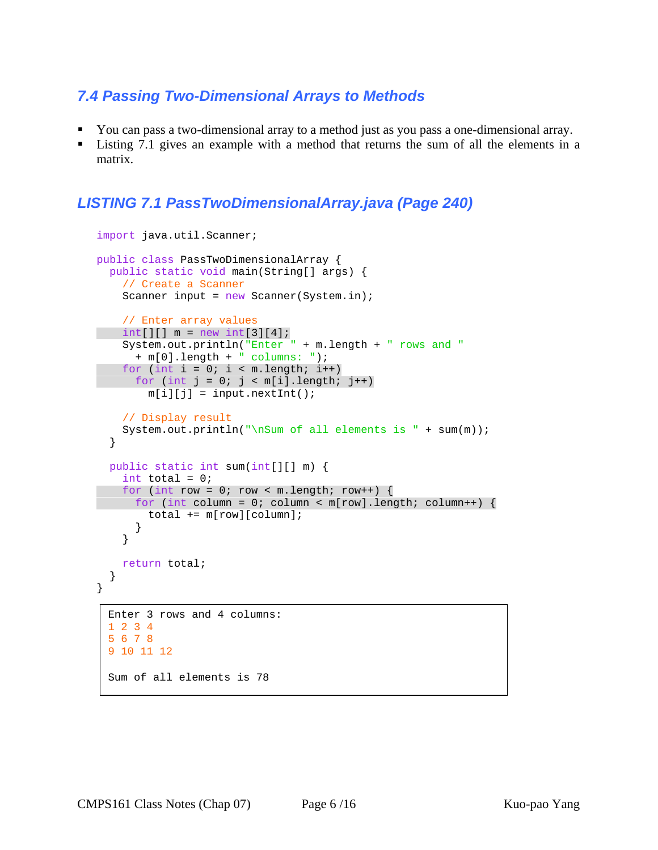#### *7.4 Passing Two-Dimensional Arrays to Methods*

- You can pass a two-dimensional array to a method just as you pass a one-dimensional array.
- Listing 7.1 gives an example with a method that returns the sum of all the elements in a matrix.

#### *LISTING 7.1 PassTwoDimensionalArray.java (Page 240)*

```
import java.util.Scanner; 
public class PassTwoDimensionalArray { 
  public static void main(String[] args) { 
    // Create a Scanner 
   Scanner input = new Scanner(System.in);
     // Enter array values 
int[][] m = new int[3][4];
     System.out.println("Enter " + m.length + " rows and " 
       + m[0].length + " columns: "); 
    for (int i = 0; i < m.length; i++)for (int j = 0; j < m[i].length; j++)m[i][j] = input.nextInt();
    // Display result 
   System.out.println("\nSum of all elements is " + sum(m));
   } 
  public static int sum(int[][] m) { 
    int total = 0;
    for (int row = 0; row < m.length; row++) {
     for (int column = 0; column < m[row].length; column++) {
        total += m[row][column]; } 
     } 
    return total; 
  } 
} 
 Enter 3 rows and 4 columns: 
 1 2 3 4 
 5 6 7 8 
 9 10 11 12 
 Sum of all elements is 78
```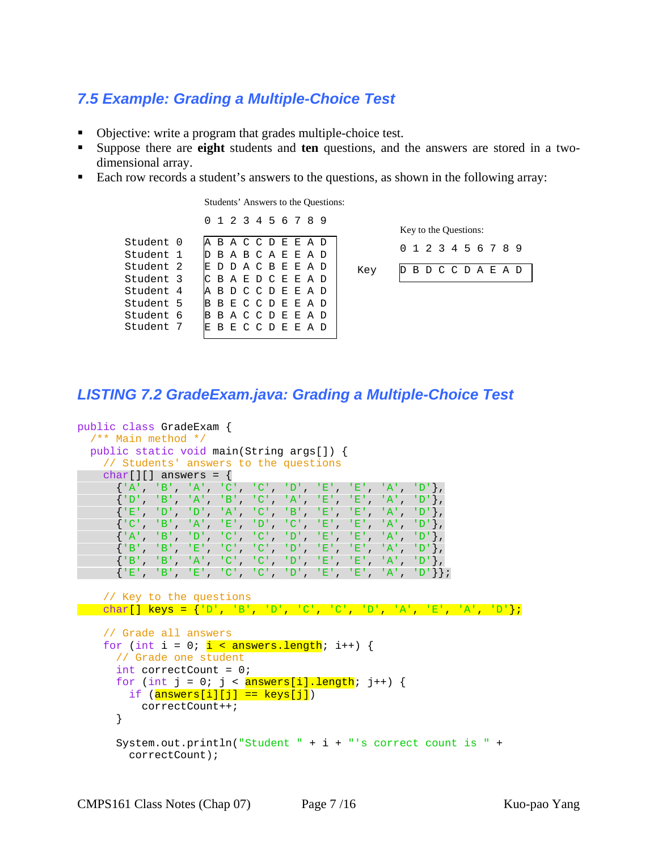## *7.5 Example: Grading a Multiple-Choice Test*

- Objective: write a program that grades multiple-choice test.
- Suppose there are **eight** students and **ten** questions, and the answers are stored in a twodimensional array.
- Each row records a student's answers to the questions, as shown in the following array:

Students' Answers to the Questions:

|           |  | 0 1 2 3 4 5 6 7 8   |  |  |  |  |
|-----------|--|---------------------|--|--|--|--|
| Student 0 |  | A B A C C D E E A D |  |  |  |  |
| Student 1 |  | D B A B C A E E A D |  |  |  |  |
| Student 2 |  | E D D A C B E E A D |  |  |  |  |
| Student 3 |  | CBAEDCEEAD          |  |  |  |  |
| Student 4 |  | A B D C C D E E A D |  |  |  |  |
| Student 5 |  | BBECCDEEAD          |  |  |  |  |
| Student 6 |  | <b>BACCDEEAD</b>    |  |  |  |  |
| Student 7 |  | BECCDEEAD           |  |  |  |  |

D B D C C D A E A D 0 1 2 3 4 5 6 7 8 9 Key Key to the Questions:

#### *LISTING 7.2 GradeExam.java: Grading a Multiple-Choice Test*

```
public class GradeExam { 
   /** Main method */ 
  public static void main(String args[]) { 
     // Students' answers to the questions 
    char[][] answers = \{ {'A', 'B', 'A', 'C', 'C', 'D', 'E', 'E', 'A', 'D'}, 
      \{ 'D', 'B', 'A', 'B', 'C', 'A', 'E', 'E', 'A', 'A', 'D' \}, {'E', 'D', 'D', 'A', 'C', 'B', 'E', 'E', 'A', 'D'}, 
       {'C', 'B', 'A', 'E', 'D', 'C', 'E', 'E', 'A', 'D'}, 
       {'A', 'B', 'D', 'C', 'C', 'D', 'E', 'E', 'A', 'D'}, 
       {'B', 'B', 'E', 'C', 'C', 'D', 'E', 'E', 'A', 'D'}, 
       {'B', 'B', 'A', 'C', 'C', 'D', 'E', 'E', 'A', 'D'}, 
       {'E', 'B', 'E', 'C', 'C', 'D', 'E', 'E', 'A', 'D'}}; 
     // Key to the questions 
  char[] keys = {'D', 'B', 'D', 'C', 'C', 'D', 'A', 'E', 'A', 'D'}; 
     // Grade all answers 
    for (int i = 0; i \lt answers.length; i++) {
       // Grade one student 
       int correctCount = 0; 
      for (int j = 0; j < answers[i].length; j++) {
        if (\texttt{answers}[i][j] == \texttt{keys}[j]) correctCount++; 
       } 
       System.out.println("Student " + i + "'s correct count is " + 
         correctCount);
```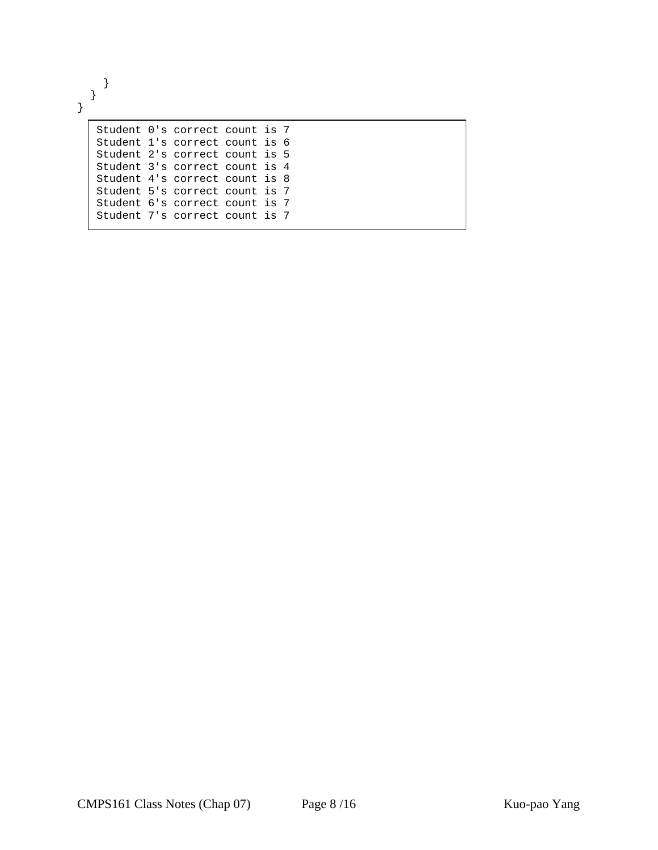} } }

|  | Student 0's correct count is 7 |  |  |
|--|--------------------------------|--|--|
|  | Student 1's correct count is 6 |  |  |
|  | Student 2's correct count is 5 |  |  |
|  | Student 3's correct count is 4 |  |  |
|  | Student 4's correct count is 8 |  |  |
|  | Student 5's correct count is 7 |  |  |
|  | Student 6's correct count is 7 |  |  |
|  | Student 7's correct count is 7 |  |  |
|  |                                |  |  |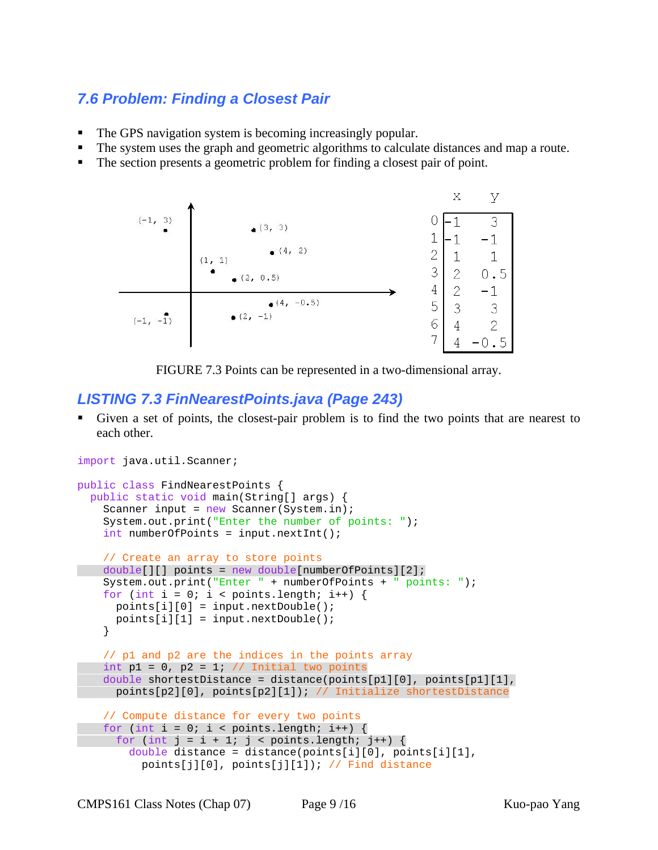## *7.6 Problem: Finding a Closest Pair*

- The GPS navigation system is becoming increasingly popular.
- The system uses the graph and geometric algorithms to calculate distances and map a route.
- The section presents a geometric problem for finding a closest pair of point.



FIGURE 7.3 Points can be represented in a two-dimensional array.

#### *LISTING 7.3 FinNearestPoints.java (Page 243)*

 Given a set of points, the closest-pair problem is to find the two points that are nearest to each other.

```
import java.util.Scanner; 
public class FindNearestPoints { 
  public static void main(String[] args) { 
    Scanner input = new Scanner(System.in);
     System.out.print("Enter the number of points: "); 
     int numberOfPoints = input.nextInt(); 
     // Create an array to store points 
   double[][] points = new double[numberOfPoints][2]; 
     System.out.print("Enter " + numberOfPoints + " points: "); 
    for (int i = 0; i < points.length; i++) {
      points[i][0] = input.nextDouble(); 
      points[i][1] = input.nextDouble(); 
     } 
     // p1 and p2 are the indices in the points array 
   int p1 = 0, p2 = 1; // Initial two points
   double shortestDistance = distance(points[p1][0], points[p1][1],
      points[p2][0], points[p2][1]); // Initialize shortestDistance 
     // Compute distance for every two points 
    for (int i = 0; i < points.length; i++) {
      for (int j = i + 1; j < points.length; j++) {
         double distance = distance(points[i][0], points[i][1], 
           points[j][0], points[j][1]); // Find distance
```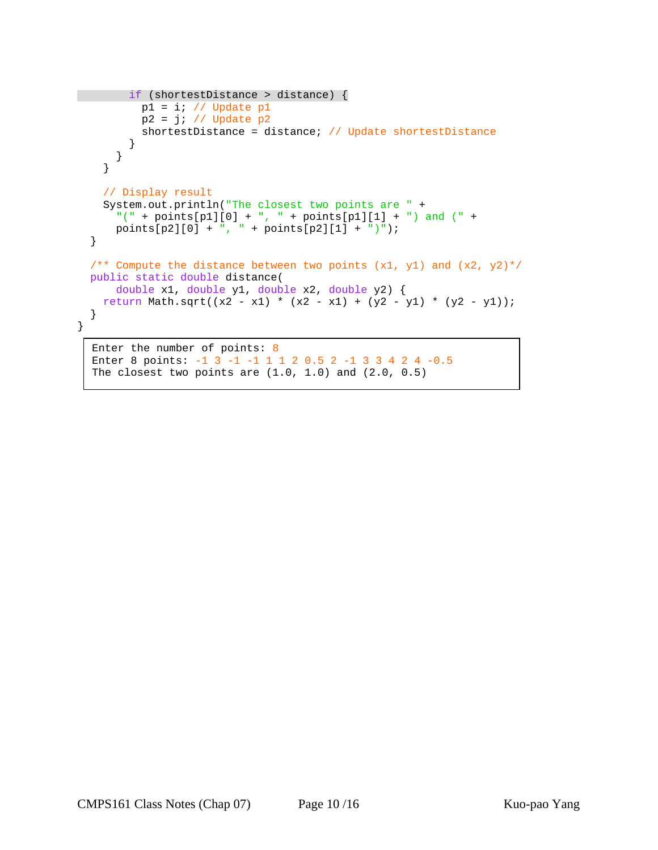```
 if (shortestDistance > distance) { 
          p1 = i; // Update p1p2 = j; // Update p2 shortestDistance = distance; // Update shortestDistance 
         } 
      } 
     } 
     // Display result 
     System.out.println("The closest two points are " + 
      "(" + points[p1][0] + ", " + points[p1][1] + ") and (" +points[p2][0] + ", " + points[p2][1] + "); } 
  /** Compute the distance between two points (x1, y1) and (x2, y2)*/ public static double distance( 
       double x1, double y1, double x2, double y2) { 
   return Math.sqrt((x2 - x1) * (x2 - x1) + (y2 - y1) * (y2 - y1));
   } 
} 
  Enter the number of points: 8
```

```
Enter 8 points: -1 3 -1 -1 1 1 2 0.5 2 -1 3 3 4 2 4 -0.5 
The closest two points are (1.0, 1.0) and (2.0, 0.5)
```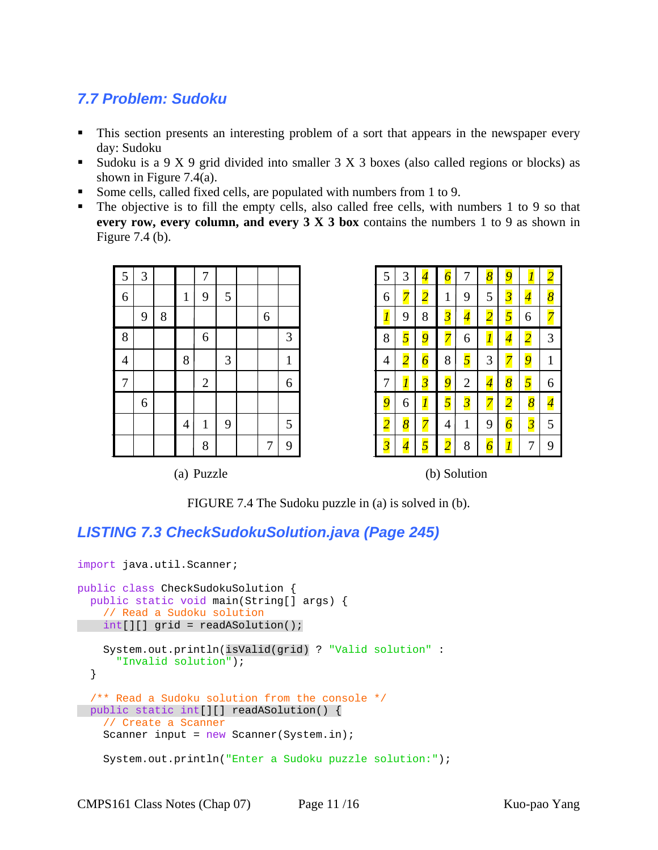## *7.7 Problem: Sudoku*

- This section presents an interesting problem of a sort that appears in the newspaper every day: Sudoku
- Sudoku is a  $9 \times 9$  grid divided into smaller  $3 \times 3$  boxes (also called regions or blocks) as shown in Figure 7.4(a).
- Some cells, called fixed cells, are populated with numbers from 1 to 9.
- The objective is to fill the empty cells, also called free cells, with numbers 1 to 9 so that **every row, every column, and every 3 X 3 box** contains the numbers 1 to 9 as shown in Figure 7.4 (b).

| 5              | 3 |   |                | $\overline{7}$ |   |                |              |
|----------------|---|---|----------------|----------------|---|----------------|--------------|
| $\overline{6}$ |   |   | $\mathbf{1}$   | 9              | 5 |                |              |
|                | 9 | 8 |                |                |   | 6              |              |
| 8              |   |   |                | 6              |   |                | 3            |
| $\overline{4}$ |   |   | 8              |                | 3 |                | $\mathbf{1}$ |
| $\overline{7}$ |   |   |                | $\overline{c}$ |   |                | 6            |
|                | 6 |   |                |                |   |                |              |
|                |   |   | $\overline{4}$ | $\mathbf{1}$   | 9 |                | 5            |
|                |   |   |                | 8              |   | $\overline{7}$ | 9            |

| 5                    | 3                        | 4              | 6 | 7                        | 8              | g                        |                           |   |
|----------------------|--------------------------|----------------|---|--------------------------|----------------|--------------------------|---------------------------|---|
| 6                    | 7                        | $\overline{2}$ | 1 | 9                        | 5              | $\overline{3}$           | 4                         | 8 |
| $\overline{l}$       | 9                        | 8              | 3 | $\overline{\mathcal{A}}$ | $\overline{2}$ | 5                        | 6                         | 7 |
| 8                    | 5                        | $\overline{9}$ |   | 6                        | $\overline{l}$ | $\overline{\mathcal{A}}$ | $\overline{c}$            | 3 |
| 4                    | $\overline{2}$           | $\overline{6}$ | 8 | $\overline{\mathbf{5}}$  | 3              |                          | 9                         | 1 |
| 7                    | Ī                        | $\overline{3}$ | 9 | $\overline{c}$           | $\overline{4}$ | $\overline{\delta}$      | 5                         | 6 |
| $\overline{9}$       | 6                        | l              |   | $\overline{\mathbf{3}}$  |                | $\overline{2}$           | 8                         |   |
| $\overline{2}$       | 8                        |                | 4 | 1                        | 9              | $\overline{6}$           | $\overline{\mathfrak{z}}$ | 5 |
| $\boldsymbol{\beta}$ | $\overline{\mathcal{A}}$ | $\overline{5}$ | 2 | 8                        | 6              | $\overline{l}$           | 7                         | 9 |

(a) Puzzle (b) Solution

FIGURE 7.4 The Sudoku puzzle in (a) is solved in (b).

## *LISTING 7.3 CheckSudokuSolution.java (Page 245)*

```
import java.util.Scanner; 
public class CheckSudokuSolution { 
  public static void main(String[] args) { 
    // Read a Sudoku solution 
   int[][] grid = readASolution(); 
     System.out.println(isValid(grid) ? "Valid solution" : 
       "Invalid solution"); 
   } 
   /** Read a Sudoku solution from the console */ 
 public static int[][] readASolution() { 
     // Create a Scanner 
    Scanner input = new Scanner(System.in);
     System.out.println("Enter a Sudoku puzzle solution:");
```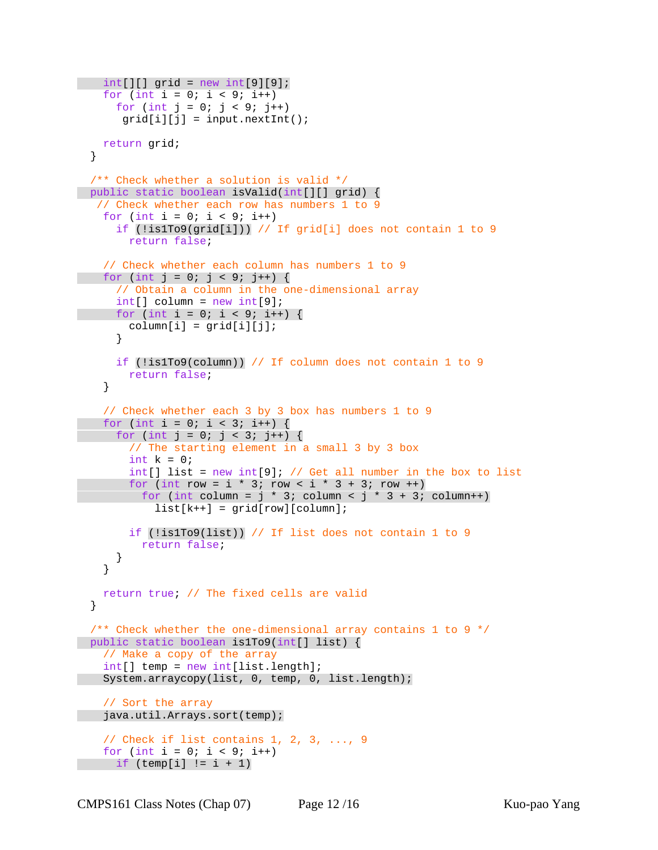```
int[] grid = new int[9][9];
   for (int i = 0; i < 9; i++)for (int j = 0; j < 9; j++)grid[i][j] = input.nextInt();
    return grid; 
  } 
  /** Check whether a solution is valid */ 
  public static boolean isValid(int[][] grid) { 
   // Check whether each row has numbers 1 to 9 
   for (int i = 0; i < 9; i++)
      if (!is1To9(grid[i])) // If grid[i] does not contain 1 to 9 
        return false; 
    // Check whether each column has numbers 1 to 9 
   for (int j = 0; j < 9; j++) {
      // Obtain a column in the one-dimensional array 
      int[] column = new int[9]; 
     for (int i = 0; i < 9; i++) {
       column[i] = grid[i][j]; } 
      if (!is1To9(column)) // If column does not contain 1 to 9 
        return false; 
    } 
    // Check whether each 3 by 3 box has numbers 1 to 9 
   for (int i = 0; i < 3; i++) {
     for (int j = 0; j < 3; j++) {
        // The starting element in a small 3 by 3 box 
       int k = 0;
       int[] list = new int[9]; // Get all number in the box to list
       for (int row = i * 3; row < i * 3 + 3; row ++)
         for (int column = j * 3; column < j * 3 + 3; column++)
            list[k++] = grid[row][column]; if (!is1To9(list)) // If list does not contain 1 to 9 
          return false; 
      } 
    } 
    return true; // The fixed cells are valid 
  } 
 /** Check whether the one-dimensional array contains 1 to 9 */ public static boolean is1To9(int[] list) { 
    // Make a copy of the array 
    int[] temp = new int[list.length]; 
    System.arraycopy(list, 0, temp, 0, list.length); 
    // Sort the array 
   java.util.Arrays.sort(temp); 
   // Check if list contains 1, 2, 3, \ldots, 9
   for (int i = 0; i < 9; i++) if (temp[i] != i + 1)
```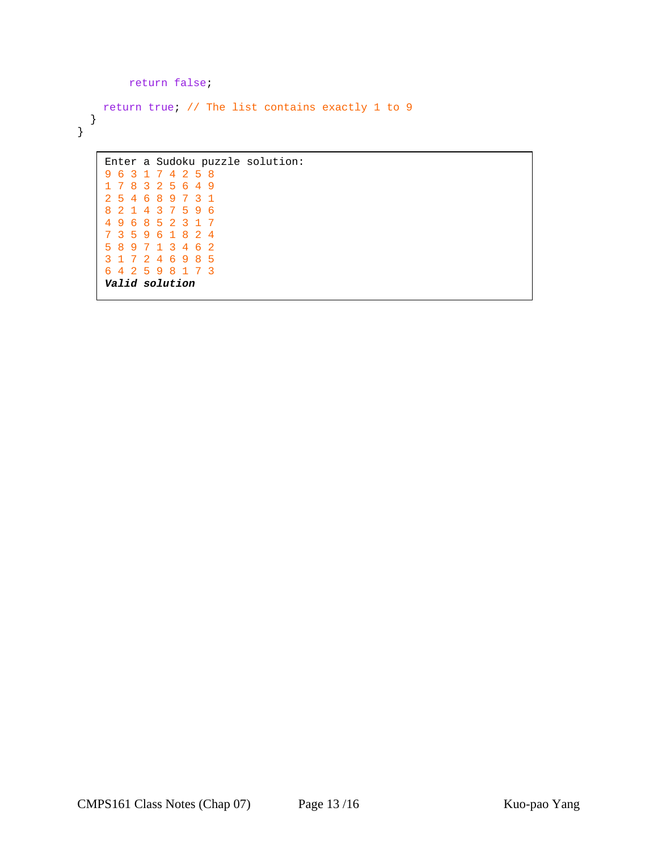```
 return false; 
     return true; // The list contains exactly 1 to 9 
   } 
}
```

```
Enter a Sudoku puzzle solution: 
9 6 3 1 7 4 2 5 8 
1 7 8 3 2 5 6 4 9 
2 5 4 6 8 9 7 3 1 
8 2 1 4 3 7 5 9 6 
4 9 6 8 5 2 3 1 7 
7 3 5 9 6 1 8 2 4 
5 8 9 7 1 3 4 6 2 
3 1 7 2 4 6 9 8 5 
6 4 2 5 9 8 1 7 3 
Valid solution
```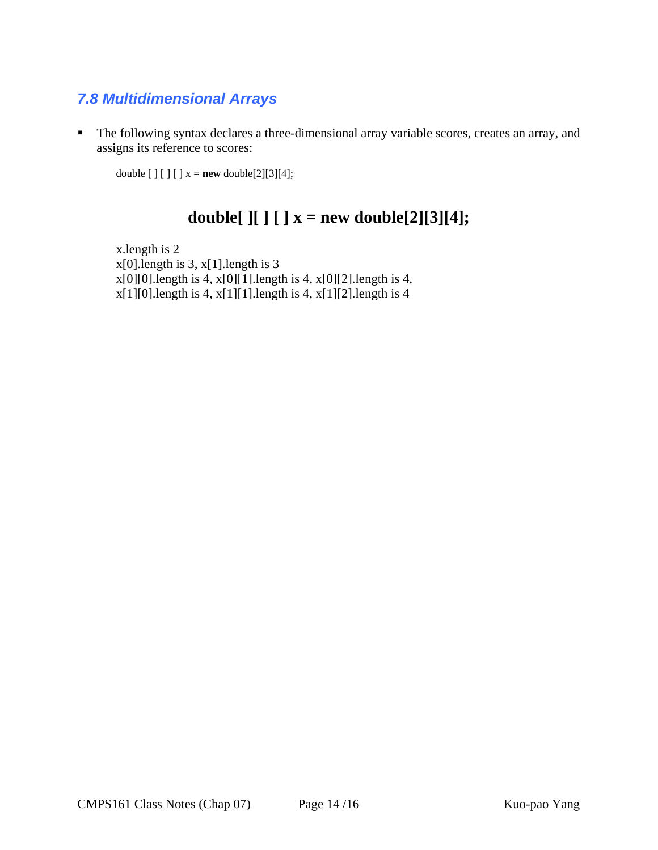## *7.8 Multidimensional Arrays*

 The following syntax declares a three-dimensional array variable scores, creates an array, and assigns its reference to scores:

double  $[ ] [ ] [ ] x = new double[2][3][4];$ 

# **double**[  $\iint$   $\iint$   $\iint$   $x = new$  **double**[2][3][4];

 x.length is 2 x[0].length is 3, x[1].length is 3  $x[0][0]$ .length is 4,  $x[0][1]$ .length is 4,  $x[0][2]$ .length is 4, x[1][0].length is 4, x[1][1].length is 4, x[1][2].length is 4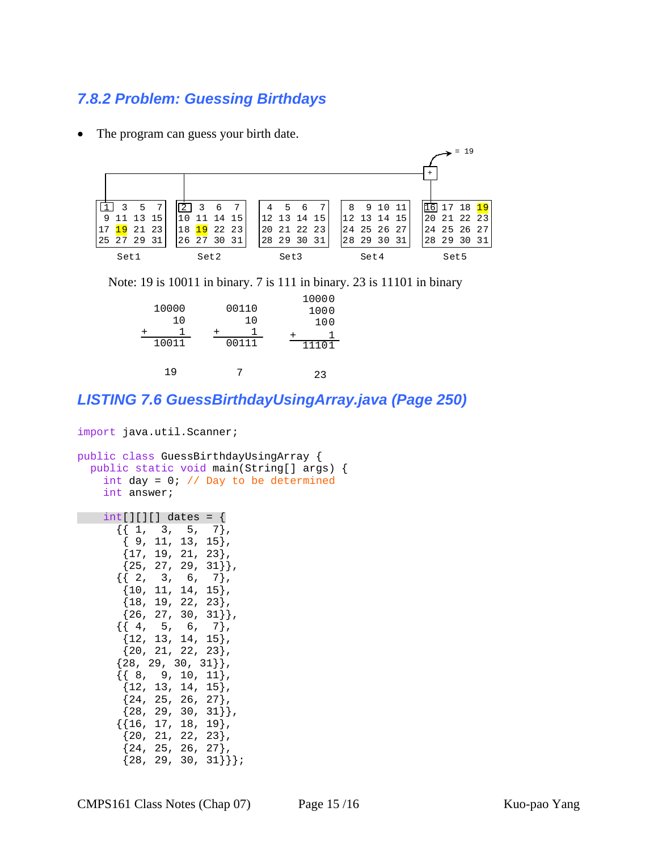#### *7.8.2 Problem: Guessing Birthdays*

The program can guess your birth date.



Note: 19 is 10011 in binary. 7 is 111 in binary. 23 is 11101 in binary

| 10000<br>10<br>10011 | 00110<br>10<br>00111 | 10000<br>1000<br>100<br>11101 |
|----------------------|----------------------|-------------------------------|
| 1 Q                  |                      | 23                            |

#### *LISTING 7.6 GuessBirthdayUsingArray.java (Page 250)*

```
import java.util.Scanner; 
public class GuessBirthdayUsingArray { 
  public static void main(String[] args) { 
    int day = 0; // Day to be determined
     int answer; 
     int[][][] dates = { 
      { { 1, 3, 5, 7 } }{9, 11, 13, 15} {17, 19, 21, 23}, 
       {25, 27, 29, 31},
      \{\{2, 3, 6, 7\},\}{10, 11, 14, 15}, {18, 19, 22, 23}, 
       {26, 27, 30, 31},
      \{\{4, 5, 6, 7\},\}{12, 13, 14, 15} {20, 21, 22, 23}, 
      {28, 29, 30, 31},
      \{\{ 8, 9, 10, 11 \},\{12, 13, 14, 15}{24, 25, 26, 27}{28, 29, 30, 31},
       {{16, 17, 18, 19}, 
       \{20, 21, 22, 23\},
       {24, 25, 26, 27}{28, 29, 30, 31}
```